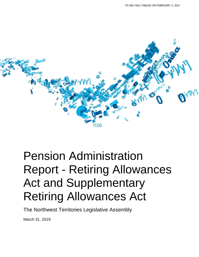

# Pension Administration Report - Retiring Allowances Act and Supplementary Retiring Allowances Act

The Northwest Territories Legislative Assembly

March 31, 2019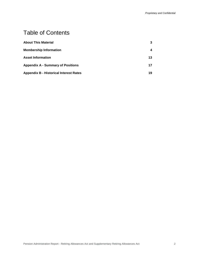# Table of Contents

| <b>About This Material</b>                    | 3  |
|-----------------------------------------------|----|
| <b>Membership Information</b>                 | 4  |
| <b>Asset Information</b>                      | 13 |
| <b>Appendix A - Summary of Positions</b>      | 17 |
| <b>Appendix B - Historical Interest Rates</b> | 19 |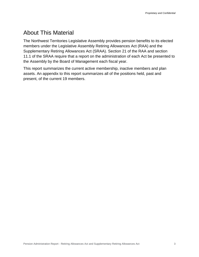# <span id="page-2-0"></span>About This Material

The Northwest Territories Legislative Assembly provides pension benefits to its elected members under the Legislative Assembly Retiring Allowances Act (RAA) and the Supplementary Retiring Allowances Act (SRAA). Section 21 of the RAA and section 11.1 of the SRAA require that a report on the administration of each Act be presented to the Assembly by the Board of Management each fiscal year.

This report summarizes the current active membership, inactive members and plan assets. An appendix to this report summarizes all of the positions held, past and present, of the current 19 members.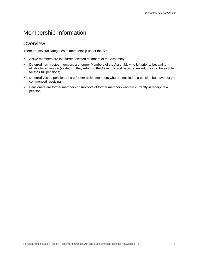# <span id="page-3-0"></span>Membership Information

### **Overview**

There are several categories of membership under the Act:

- Active members are the current elected Members of the Assembly;
- Deferred non–vested members are former Members of the Assembly who left prior to becoming eligible for a pension (vested). If they return to the Assembly and become vested, they will be eligible for their full pensions;
- Deferred vested pensioners are former active members who are entitled to a pension but have not yet commenced receiving it.
- **•** Pensioners are former members or survivors of former members who are currently in receipt of a pension.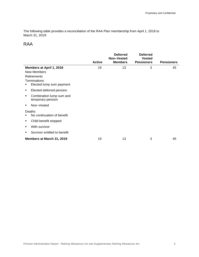The following table provides a reconciliation of the RAA Plan membership from April 1, 2018 to March 31, 2019:

### RAA

|                                                    | <b>Active</b> | <b>Deferred</b><br>Non-Vested<br><b>Members</b> | <b>Deferred</b><br><b>Vested</b><br><b>Pensioners</b> | <b>Pensioners</b> |
|----------------------------------------------------|---------------|-------------------------------------------------|-------------------------------------------------------|-------------------|
| Members at April 1, 2018                           | 19            | 13                                              | 3                                                     | 45                |
| <b>New Members</b>                                 |               |                                                 |                                                       |                   |
| <b>Retirements</b>                                 |               |                                                 |                                                       |                   |
| Terminations                                       |               |                                                 |                                                       |                   |
| Elected lump sum payment                           |               |                                                 |                                                       |                   |
| Elected deferred pension<br>٠                      |               |                                                 |                                                       |                   |
| Combination lump sum and<br>٠<br>temporary pension |               |                                                 |                                                       |                   |
| Non-Vested<br>٠                                    |               |                                                 |                                                       |                   |
| Deaths                                             |               |                                                 |                                                       |                   |
| No continuation of benefit                         |               |                                                 |                                                       |                   |
| Child benefit stopped<br>٠                         |               |                                                 |                                                       |                   |
| With survivor<br>٠                                 |               |                                                 |                                                       |                   |
| Survivor entitled to benefit<br>٠                  |               |                                                 |                                                       |                   |
| Members at March 31, 2019                          | 19            | 13                                              | 3                                                     | 45                |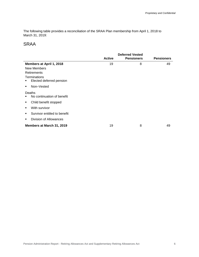The following table provides a reconciliation of the SRAA Plan membership from April 1, 2018 to March 31, 2019:

### SRAA

|                                   | <b>Deferred Vested</b> |                   |                   |
|-----------------------------------|------------------------|-------------------|-------------------|
|                                   | <b>Active</b>          | <b>Pensioners</b> | <b>Pensioners</b> |
| Members at April 1, 2018          | 19                     | 8                 | 49                |
| New Members                       |                        |                   |                   |
| Retirements                       |                        |                   |                   |
| Terminations                      |                        |                   |                   |
| Elected deferred pension<br>٠     |                        |                   |                   |
| Non-Vested<br>٠                   |                        |                   |                   |
| Deaths                            |                        |                   |                   |
| No continuation of benefit        |                        |                   |                   |
| Child benefit stopped<br>٠        |                        |                   |                   |
| With survivor<br>٠                |                        |                   |                   |
| Survivor entitled to benefit<br>٠ |                        |                   |                   |
| Division of Allowances<br>٠       |                        |                   |                   |
| Members at March 31, 2019         | 19                     | 8                 | 49                |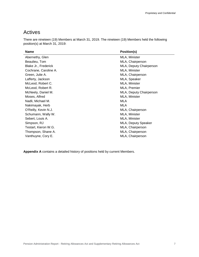# Actives

There are nineteen (19) Members at March 31, 2019. The nineteen (19) Members held the following position(s) at March 31, 2019:

| <b>Name</b>           | <b>Position(s)</b>      |
|-----------------------|-------------------------|
| Abernethy, Glen       | MLA, Minister           |
| Beaulieu, Tom         | MLA, Chairperson        |
| Blake Jr., Frederick  | MLA, Deputy Chairperson |
| Cochrane, Caroline A. | MLA, Minister           |
| Green, Julie A.       | MLA, Chairperson        |
| Lafferty, Jackson     | MLA, Speaker            |
| McLeod, Robert C.     | MLA, Minister           |
| McLeod, Robert R.     | MLA, Premier            |
| McNeely, Daniel M.    | MLA, Deputy Chairperson |
| Moses, Alfred         | MLA, Minister           |
| Nadli, Michael M.     | MLA                     |
| Nakimayak, Herb       | <b>MLA</b>              |
| O'Reilly, Kevin N.J.  | MLA, Chairperson        |
| Schumann, Wally W.    | MLA, Minister           |
| Sebert, Louis A.      | MLA, Minister           |
| Simpson, RJ           | MLA, Deputy Speaker     |
| Testart, Kieron W.G.  | MLA, Chairperson        |
| Thompson, Shane A.    | MLA, Chairperson        |
| Vanthuyne, Cory E.    | MLA, Chairperson        |

**Appendix A** contains a detailed history of positions held by current Members.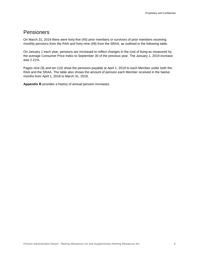### **Pensioners**

On March 31, 2019 there were forty-five (45) prior members or survivors of prior members receiving monthly pensions from the RAA and forty-nine (49) from the SRAA, as outlined in the following table.

On January 1 each year, pensions are increased to reflect changes in the cost of living as measured by the average Consumer Price Index to September 30 of the previous year. The January 1, 2019 increase was 2.21%.

Pages nine (9) and ten (10) show the pensions payable at April 1, 2019 to each Member under both the RAA and the SRAA. The table also shows the amount of pension each Member received in the twelve months from April 1, 2018 to March 31, 2019.

**Appendix B** provides a history of annual pension increases.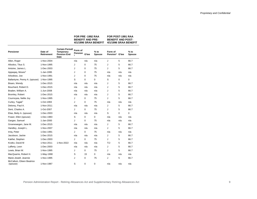| FOR PRE -1992 RAA<br><b>BENEFIT AND PRE-</b> | FOR POST-1991 RAA<br><b>BENEFIT AND POST-</b><br>4/1/1996 SRAA BENEFIT 4/1/1996 SRAA BENEFIT |
|----------------------------------------------|----------------------------------------------------------------------------------------------|
|----------------------------------------------|----------------------------------------------------------------------------------------------|

| <b>Pensioner</b>                                               | Date of<br>Retirement    | <b>Certain Period/</b><br><b>Temporary</b><br><b>Pension End</b><br>Date | Form of<br>Pension<br>1 | G'tee  | $%$ to<br>Spouse | Form of<br>Pension <sup>1</sup> G'tee |          | $%$ to<br><b>Spouse</b> |
|----------------------------------------------------------------|--------------------------|--------------------------------------------------------------------------|-------------------------|--------|------------------|---------------------------------------|----------|-------------------------|
| Allen, Roger                                                   | 1-Nov-2004               |                                                                          | n/a                     | n/a    | n/a              | J                                     | 5        | 66.7                    |
| Allooloo, Titus S.                                             | 1-Nov-1995               |                                                                          | J                       | 0      | 75               | J                                     | 5        | 66.7                    |
| Antoine, James L.                                              | 1-Dec-2003               |                                                                          | J                       | 0      | 75               | J                                     | 5        | 66.7                    |
| Appagag, Moses <sup>2</sup>                                    | 1-Jan-1995               |                                                                          | J                       | 0      | 75               | n/a                                   | n/a      | n/a                     |
| Arlooktoo, Joe                                                 | 1-Nov-1991               |                                                                          | J                       | 0      | 75               | n/a                                   | n/a      | n/a                     |
| Ballantyne, Penny A. (spouse)                                  | 1-Nov-1995               |                                                                          | S                       | 0      | 0                | S                                     | 0        | $\mathbf 0$             |
| Bisaro, Wendy                                                  | 1-Dec-2015               |                                                                          | n/a                     | n/a    | n/a              | J                                     | 5        | 66.7                    |
| Bouchard, Robert D.                                            | 1-Dec-2015               |                                                                          | n/a                     | n/a    | n/a              | J                                     | 5        | 66.7                    |
| Braden, William A.                                             | 1-Jun-2008               |                                                                          | n/a                     | n/a    | n/a              | J                                     | 5        | 66.7                    |
| Bromley, Robert                                                | 1-Dec-2015               |                                                                          | n/a                     | n/a    | n/a              | J                                     | 5        | 66.7                    |
| Cournoyea, Nellie Joy                                          | 1-Nov-1995               |                                                                          | J                       | 0      | 75               | J                                     | 5        | 66.7                    |
| Curley, Tagak <sup>2</sup>                                     | 1-Oct-1993               |                                                                          | J                       | 0      | 75               | n/a                                   | n/a      | n/a                     |
| Delorey, Paul A.                                               | 1-Nov-2011               |                                                                          | n/a                     | n/a    | n/a              | J                                     | 5        | 66.7                    |
| Dent. Charles A.                                               | 1-Oct-2007               |                                                                          | J                       | 0      | 75               | J                                     | 5        | 66.7                    |
| Elias, Betty A. (spouse)                                       | 1-Dec-2003               |                                                                          | n/a                     | n/a    | n/a              | S                                     | 0        | $\mathbf 0$             |
| Fraser, Ellen (spouse)                                         | 1-Dec-1983               |                                                                          | S                       | 0      | 0                | n/a                                   | n/a      | n/a                     |
| Gargan, Samuel                                                 | 1-Jan-2000               |                                                                          | J                       | 0      | 75               | n/a                                   | n/a      | n/a                     |
| Groenewegen, Jane M.                                           | 1-Dec-2015               |                                                                          | n/a                     | n/a    | n/a              | J                                     | 5        | 66.7                    |
| Handley, Joseph L.                                             | 1-Nov-2007               |                                                                          | n/a                     | n/a    | n/a              | J                                     | 5        | 66.7                    |
| Irniq, Peter                                                   | 1-Dec-1991               |                                                                          | J                       | 0      | 75               | n/a                                   | n/a      | n/a                     |
| Jacobson, Jackie                                               | 1-Dec-2015               |                                                                          | n/a                     | n/a    | n/a              | J                                     | 5        | 66.7                    |
| Kakfwi, Stephen                                                | 1-Dec-2003               |                                                                          | J                       | 0      | 75               | J                                     | 5        | 66.7                    |
| Krutko, David M                                                | 1-Nov-2011               | 1-Nov-2022                                                               | n/a                     | n/a    | n/a              | T/J                                   | 5        | 66.7                    |
| Lafferty, Leon                                                 | 1-Dec-2003               |                                                                          | n/a                     | n/a    | n/a              | J                                     | 5        | 66.7                    |
| Lewis, Brian W.                                                | 1-Nov-1995               |                                                                          | J                       | 0      | 75               | J                                     | 5        | 66.7                    |
| MacQuarrie, Robert H.                                          | 1-May-1990               |                                                                          | S                       | 15     | 0                | n/a                                   | n/a      | n/a                     |
| Marie-Jewell, Jeannie<br>McCallum, Eileen Beatrice<br>(spouse) | 1-Nov-1995<br>1-Nov-1987 |                                                                          | J<br>S                  | 0<br>0 | 75<br>0          | J<br>n/a                              | 5<br>n/a | 66.7<br>n/a             |
|                                                                |                          |                                                                          |                         |        |                  |                                       |          |                         |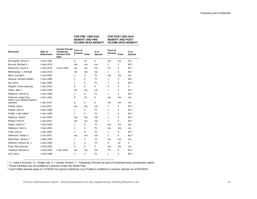|                                                     |                       |                                                                   |                         | BENEFII AND PRE-<br>4/1/1996 SRAA BENEFIT |                         | BENEFII AND PUSI-<br>4/1/1996 SRAA BENEFIT |       |                |
|-----------------------------------------------------|-----------------------|-------------------------------------------------------------------|-------------------------|-------------------------------------------|-------------------------|--------------------------------------------|-------|----------------|
| <b>Pensioner</b>                                    | Date of<br>Retirement | Certain Period/<br>Temporary<br><b>Pension End</b><br><b>Date</b> | Form of<br>Pension<br>1 | G'tee                                     | $%$ to<br><b>Spouse</b> | Form of<br>Pension<br>1                    | G'tee | % to<br>Spouse |
| McLaughlin, Bruce A.                                | 1-Nov-1991            |                                                                   | S                       | 10                                        | 0                       | n/a                                        | n/a   | n/a            |
| McLeod, Michael V.                                  | 1-Nov-2012            |                                                                   | n/a                     | n/a                                       | n/a                     | J                                          | 5     | 66.7           |
| Menicoche, Kevin A.                                 | 1-Dec-2015            | 1-Nov-2026                                                        | n/a                     | n/a                                       | n/a                     | T/J                                        | 5     | 66.7           |
| Miltenberger, J. Michael                            | 1-Dec-2015            |                                                                   | n/a                     | n/a                                       | n/a                     | J                                          | 5     | 66.7           |
| Morin, Donald A.                                    | 1-Jan-2000            |                                                                   | J                       | 0                                         | 75                      | n/a                                        | n/a   | n/a            |
| Nerysoo, Richard William                            | 1-Nov-1995            |                                                                   | J                       | 0                                         | 75                      | J                                          | 5     | 66.7           |
| Ng, Kelvin                                          | 1-Apr-1999            |                                                                   | J                       | $\Omega$                                  | 75                      | J                                          | 5     | 66.7           |
| Ningark, Celine (spouse)                            | 1-Dec-2016            |                                                                   | S                       | 0                                         | 0                       | S                                          | 0     | 0              |
| Ootes, Jake J.                                      | 1-Dec-2003            |                                                                   | n/a                     | n/a                                       | n/a                     | J                                          | 5     | 66.7           |
| Patterson, Dennis G.                                | 1-Nov-1995            |                                                                   | J                       | 0                                         | 75                      | J                                          | 5     | 66.7           |
| Pedersen, Asger Rye<br>Petrie, Lynn Marilyn Darlene | 1-Nov-1991            |                                                                   | S                       | 10                                        | 0                       | n/a                                        | n/a   | n/a            |
| (spouse)                                            | 1-Apr-2015            |                                                                   | S                       | $\mathbf 0$                               | $\Omega$                | n/a                                        | n/a   | n/a            |
| Pokiak, Calvin                                      | 1-Oct-2007            |                                                                   | n/a                     | n/a                                       | n/a                     | J                                          | 5     | 66.7           |
| Pollard, John D.                                    | 1-Nov-1995            |                                                                   | J                       | 0                                         | 75                      | J                                          | 5     | 66.7           |
| Pudluk, Ludy Kalluk <sup>3</sup>                    | 1-Nov-1995            |                                                                   | J                       | $\Omega$                                  | 75                      | J                                          | 5     | 66.7           |
| Rabesca, James <sup>2</sup>                         | 1-Jan-2000            |                                                                   | n/a                     | n/a                                       | n/a                     | J                                          | 5     | 66.7           |
| Roland, Floyd K.                                    | 1-Jan-2014            |                                                                   | n/a                     | n/a                                       | n/a                     | J                                          | 5     | 66.7           |
| Searle, David H. <sup>2</sup>                       | 1-Nov-1992            |                                                                   | J                       | 0                                         | 75                      | n/a                                        | n/a   | n/a            |
| Sibbeston, Nick G.                                  | 1-Nov-1991            |                                                                   | J                       | 0                                         | 75                      | n/a                                        | n/a   | n/a            |
| Todd, John H.                                       | 1-Apr-1999            |                                                                   | J                       | $\Omega$                                  | 75                      | J                                          | 5     | 66.7           |
| Villeneuve, Robert J.                               | 1-Oct-2007            |                                                                   | n/a                     | n/a                                       | n/a                     | J                                          | 5     | 66.7           |
| Wah-Shee, James J. <sup>2</sup>                     | 1-Mar-1995            |                                                                   | J                       | 0                                         | 75                      | n/a                                        | n/a   | n/a            |
| Whitford, Anthony W. J.                             | 1-Dec-2003            |                                                                   | J                       | 0                                         | 75                      | S                                          | 10    | $\mathbf 0$    |
| Wray, Rita (spouse)                                 | 1-Feb-1992            |                                                                   | S                       | $\mathbf 0$                               | 0                       | n/a                                        | n/a   | n/a            |
| Yakeleya, Norman S.                                 | 1-Dec-2015            | 1-Apr-2024                                                        | n/a                     | n/a                                       | n/a                     | T/J                                        | 5     | 66.7           |
| Zoe, Henry                                          | 1-Nov-1995            |                                                                   | J                       | 0                                         | 75                      | J                                          | 5     | 66.7           |

**FOR PRE -1992 RAA BENEFIT AND PRE-**

**FOR POST-1991 RAA BENEFIT AND POST-**

 $1$  J = Joint & Survivor; S = Single Life; C = Certain Period; T = Temporary Pension as part of combined lump sum/pension option

<sup>2</sup> These members are not entitled to a pension under the SRAA Plan

<sup>3</sup> Ludy Pudluk passed away on 7/1/2019; his spouse Katherina Lucy Pudluk is entitled to a survivor pension as of 8/1/2019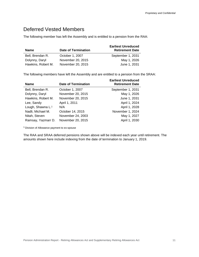## Deferred Vested Members

The following member has left the Assembly and is entitled to a pension from the RAA:

| <b>Name</b>        | <b>Date of Termination</b> | <b>Earliest Unreduced</b><br><b>Retirement Date</b> |
|--------------------|----------------------------|-----------------------------------------------------|
| Bell, Brendan R.   | October 1, 2007            | September 1, 2031                                   |
| Dolynny, Daryl     | November 20, 2015          | May 1, 2026                                         |
| Hawkins, Robert M. | November 20, 2015          | June 1, 2031                                        |

The following members have left the Assembly and are entitled to a pension from the SRAA:

| <b>Name</b>                   | <b>Date of Termination</b> | <b>Earliest Unreduced</b><br><b>Retirement Date</b> |
|-------------------------------|----------------------------|-----------------------------------------------------|
| Bell, Brendan R.              | October 1, 2007            | September 1, 2031                                   |
| Dolynny, Daryl                | November 20, 2015          | May 1, 2026                                         |
| Hawkins, Robert M.            | November 20, 2015          | June 1, 2031                                        |
| Lee, Sandy                    | April 1, 2011              | April 1, 2024                                       |
| Lough, Shawna L. <sup>1</sup> | N/A                        | April 1, 2028                                       |
| Nadli, Michael M.             | October 14, 2015           | November 1, 2024                                    |
| Nitah, Steven                 | November 24, 2003          | May 1, 2027                                         |
| Ramsay, Yazmarr D.            | November 20, 2015          | April 1, 2030                                       |

<sup>1</sup> Division of Allowance payment to ex-spouse

The RAA and SRAA deferred pensions shown above will be indexed each year until retirement. The amounts shown here include indexing from the date of termination to January 1, 2019.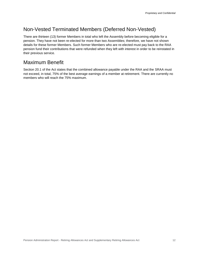# Non-Vested Terminated Members (Deferred Non-Vested)

There are thirteen (13) former Members in total who left the Assembly before becoming eligible for a pension. They have not been re-elected for more than two Assemblies; therefore, we have not shown details for these former Members. Such former Members who are re-elected must pay back to the RAA pension fund their contributions that were refunded when they left with interest in order to be reinstated in their previous service.

### Maximum Benefit

Section 20.1 of the Act states that the combined allowance payable under the RAA and the SRAA must not exceed, in total, 75% of the best average earnings of a member at retirement. There are currently no members who will reach the 75% maximum.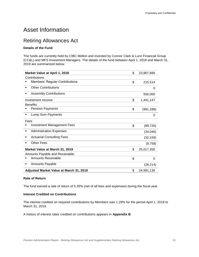# <span id="page-12-0"></span>Asset Information

# Retiring Allowances Act

#### **Details of the Fund**

The funds are currently held by CIBC Mellon and invested by Connor Clark & Lunn Financial Group (CC&L) and MFS Investment Managers. The details of the fund between April 1, 2018 and March 31, 2019 are summarized below.

| Market Value at April 1, 2018           | \$<br>23,967,666 |
|-----------------------------------------|------------------|
| Contributions                           |                  |
| <b>Members' Regular Contributions</b>   | \$<br>215,514    |
| <b>Other Contributions</b><br>٠         | 0                |
| <b>Assembly Contributions</b><br>٠      | 550,000          |
| Investment Income                       | \$<br>1,441,147  |
| <b>Benefits</b>                         |                  |
| <b>Pension Payments</b>                 | \$<br>(991, 288) |
| Lump Sum Payments<br>٠                  | 0                |
| Fees                                    |                  |
| <b>Investment Management Fees</b><br>٠  | \$<br>(89, 726)  |
| <b>Administration Expenses</b><br>٠     | (34, 046)        |
| <b>Actuarial Consulting Fees</b><br>٠   | (32, 159)        |
| <b>Other Fees</b><br>٠                  | (9,758)          |
| Market Value at March 31, 2019          | \$<br>25,017,350 |
| Amounts Payable and Receivable:         |                  |
| <b>Amounts Receivable</b><br>٠          | \$<br>0          |
| <b>Amounts Payable</b><br>٠             | (26, 214)        |
| Adjusted Market Value at March 31, 2019 | \$<br>24,991,136 |

#### **Rate of Return**

The fund earned a rate of return of 5.35% (net of all fees and expenses) during the fiscal year.

#### **Interest Credited on Contributions**

The interest credited on required contributions by Members was 1.29% for the period April 1, 2018 to March 31, 2019.

A history of interest rates credited on contributions appears in **Appendix B**.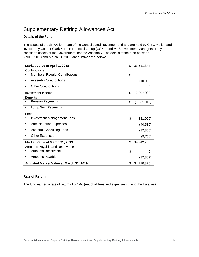# Supplementary Retiring Allowances Act

#### **Details of the Fund**

The assets of the SRAA form part of the Consolidated Revenue Fund and are held by CIBC Mellon and invested by Connor Clark & Lunn Financial Group (CC&L) and MFS Investment Managers. They constitute assets of the Government, not the Assembly. The details of the fund between April 1, 2018 and March 31, 2019 are summarized below:

| Market Value at April 1, 2018           | \$<br>33,511,344  |
|-----------------------------------------|-------------------|
| Contributions                           |                   |
| Members' Regular Contributions          | \$<br>0           |
| <b>Assembly Contributions</b><br>٠      | 710,000           |
| <b>Other Contributions</b>              | 0                 |
| Investment Income                       | \$<br>2,007,029   |
| <b>Benefits</b>                         |                   |
| <b>Pension Payments</b>                 | \$<br>(1,281,015) |
| Lump Sum Payments<br>٠                  | 0                 |
| Fees                                    |                   |
| <b>Investment Management Fees</b>       | \$<br>(121, 999)  |
| <b>Administration Expenses</b><br>٠     | (40, 530)         |
| <b>Actuarial Consulting Fees</b><br>٠   | (32, 306)         |
| <b>Other Expenses</b>                   | (9,758)           |
| Market Value at March 31, 2019          | \$<br>34,742,765  |
| Amounts Payable and Receivable:         |                   |
| <b>Amounts Receivable</b>               | \$<br>0           |
| <b>Amounts Payable</b><br>٠             | (32, 389)         |
| Adjusted Market Value at March 31, 2019 | \$<br>34,710,376  |

#### **Rate of Return**

The fund earned a rate of return of 5.42% (net of all fees and expenses) during the fiscal year.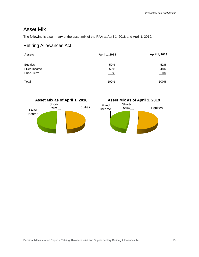**Equities** 

### Asset Mix

The following is a summary of the asset mix of the RAA at April 1, 2018 and April 1, 2019.

### Retiring Allowances Act

| <b>Assets</b> | April 1, 2018 | April 1, 2019 |
|---------------|---------------|---------------|
|               |               |               |
| Equities      | 50%           | 52%           |
| Fixed Income  | 50%           | 48%           |
| Short-Term    | $-0\%$        | $0\%$         |
| Total         | 100%          | 100%          |



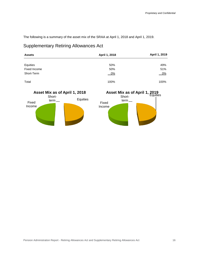The following is a summary of the asset mix of the SRAA at April 1, 2018 and April 1, 2019.

### Supplementary Retiring Allowances Act

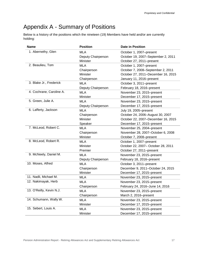# <span id="page-16-0"></span>Appendix A - Summary of Positions

Below is a history of the positions which the nineteen (19) Members have held and/or are currently holding:

| <b>Name</b>              | <b>Position</b>    | <b>Date in Position</b>            |  |
|--------------------------|--------------------|------------------------------------|--|
| 1. Abernethy, Glen       | <b>MLA</b>         | October 1, 2007-present            |  |
|                          | Deputy Chairperson | October 19, 2007-September 2, 2011 |  |
|                          | Minister           | October 27, 2011-present           |  |
| 2. Beaulieu, Tom         | <b>MLA</b>         | October 1, 2007-present            |  |
|                          | Chairperson        | October 7, 2008-September 2, 2011  |  |
|                          | Minister           | October 27, 2011-December 16, 2015 |  |
|                          | Chairperson        | January 11, 2016-present           |  |
| 3. Blake Jr., Frederick  | MLA                | October 3, 2011-present            |  |
|                          | Deputy Chairperson | February 18, 2016-present          |  |
| 4. Cochrane, Caroline A. | <b>MLA</b>         | November 23, 2015-present          |  |
|                          | Minister           | December 17, 2015-present          |  |
| 5. Green, Julie A.       | <b>MLA</b>         | November 23, 2015-present          |  |
|                          | Deputy Chairperson | December 17, 2015-present          |  |
| 6. Lafferty, Jackson     | <b>MLA</b>         | July 19, 2005-present              |  |
|                          | Chairperson        | October 24, 2006-August 30, 2007   |  |
|                          | Minister           | October 22, 2007-December 16, 2015 |  |
|                          | Speaker            | December 17, 2015-present          |  |
| 7. McLeod, Robert C.     | <b>MLA</b>         | November 25, 2004-present          |  |
|                          | Chairperson        | November 28, 2007-October 6, 2008  |  |
|                          | Minister           | October 7, 2008-present            |  |
| 8. McLeod, Robert R.     | <b>MLA</b>         | October 1, 2007-present            |  |
|                          | Minister           | October 22, 2007- October 28, 2011 |  |
|                          | Premier            | October 27, 2011-present           |  |
| 9. McNeely, Daniel M.    | <b>MLA</b>         | November 23, 2015-present          |  |
|                          | Deputy Chairperson | February 18, 2016-present          |  |
| 10. Moses, Alfred        | <b>MLA</b>         | October 3, 2011-present            |  |
|                          | Chairperson        | December 9, 2011-October 24, 2015  |  |
|                          | Minister           | December 17, 2015-present          |  |
| 11. Nadli, Michael M.    | <b>MLA</b>         | November 23, 2015-present          |  |
| 12. Nakimayak, Herb      | <b>MLA</b>         | November 23, 2015-present          |  |
|                          | Chairperson        | February 24, 2016-June 14, 2016    |  |
| 13. O'Reilly, Kevin N.J. | MLA                | November 23, 2015-present          |  |
|                          | Chairperson        | March 2, 2016-present              |  |
| 14. Schumann, Wally W.   | <b>MLA</b>         | November 23, 2015-present          |  |
|                          | Minister           | December 17, 2015-present          |  |
| 15. Sebert, Louis A.     | <b>MLA</b>         | November 23, 2015-present          |  |
|                          | Minister           | December 17, 2015-present          |  |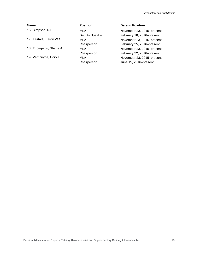| <b>Name</b>              | <b>Position</b>       | <b>Date in Position</b>   |
|--------------------------|-----------------------|---------------------------|
| 16. Simpson, RJ          | MLA                   | November 23, 2015-present |
|                          | <b>Deputy Speaker</b> | February 18, 2016-present |
| 17. Testart, Kieron W.G. | <b>MLA</b>            | November 23, 2015-present |
|                          | Chairperson           | February 25, 2016-present |
| 18. Thompson, Shane A.   | <b>MLA</b>            | November 23, 2015-present |
|                          | Chairperson           | February 22, 2016-present |
| 19. Vanthuyne, Cory E.   | <b>MLA</b>            | November 23, 2015-present |
|                          | Chairperson           | June 15, 2016-present     |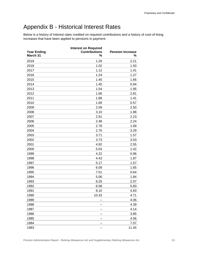# <span id="page-18-0"></span>Appendix B - Historical Interest Rates

Below is a history of interest rates credited on required contributions and a history of cost-of-living increases that have been applied to pensions in payment.

|                    | <b>Interest on Required</b> |                         |
|--------------------|-----------------------------|-------------------------|
| <b>Year Ending</b> | <b>Contributions</b>        | <b>Pension Increase</b> |
| March 31           | %                           | %                       |
| 2019               | 1.29                        | 2.21                    |
| 2018               | 1.02                        | 1.50                    |
| 2017               | 1.12                        | 1.41                    |
| 2016               | 1.24                        | 1.27                    |
| 2015               | 1.40                        | 1.66                    |
| 2014               | 1.45                        | 0.94                    |
| 2013               | 1.54                        | 1.95                    |
| 2012               | 1.66                        | 2.81                    |
| 2011               | 1.88                        | 1.41                    |
| 2010               | 1.69                        | 0.57                    |
| 2009               | 2.59                        | 2.50                    |
| 2008               | 3.10                        | 1.88                    |
| 2007               | 2.91                        | 2.23                    |
| 2006               | 2.48                        | 2.24                    |
| 2005               | 2.78                        | 1.69                    |
| 2004               | 2.75                        | 3.29                    |
| 2003               | 3.71                        | 1.57                    |
| 2002               | 3.73                        | 3.03                    |
| 2001               | 4.92                        | 2.55                    |
| 2000               | 5.03                        | 1.42                    |
| 1999               | 4.22                        | 0.96                    |
| 1998               | 4.43                        | 1.87                    |
| 1997               | 5.17                        | 1.57                    |
| 1996               | 6.09                        | 1.65                    |
| 1995               | 7.51                        | 0.64                    |
| 1994               | 5.06                        | 1.84                    |
| 1993               | 6.25                        | 2.07                    |
| 1992               | 6.58                        | 5.83                    |
| 1991               | 8.10                        | 4.83                    |
| 1990               | 10.33                       | 4.71                    |
| 1989               |                             | 4.06                    |
| 1988               |                             | 4.39                    |
| 1987               |                             | 4.14                    |
| 1986               |                             | 3.85                    |
| 1985               |                             | 4.56                    |
| 1984               |                             | 7.07                    |
| 1983               |                             | 11.45                   |